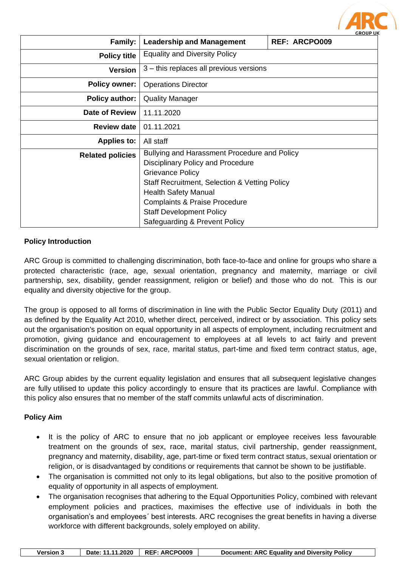|                         |                                                                                                                                                                      | <b>GROUP UK</b>      |
|-------------------------|----------------------------------------------------------------------------------------------------------------------------------------------------------------------|----------------------|
| Family:                 | <b>Leadership and Management</b>                                                                                                                                     | <b>REF: ARCPO009</b> |
| <b>Policy title</b>     | <b>Equality and Diversity Policy</b>                                                                                                                                 |                      |
| <b>Version</b>          | 3 – this replaces all previous versions                                                                                                                              |                      |
| <b>Policy owner:</b>    | <b>Operations Director</b>                                                                                                                                           |                      |
| <b>Policy author:</b>   | <b>Quality Manager</b>                                                                                                                                               |                      |
| <b>Date of Review</b>   | 11.11.2020                                                                                                                                                           |                      |
| <b>Review date</b>      | 01.11.2021                                                                                                                                                           |                      |
| <b>Applies to:</b>      | All staff                                                                                                                                                            |                      |
| <b>Related policies</b> | Bullying and Harassment Procedure and Policy<br><b>Disciplinary Policy and Procedure</b><br><b>Grievance Policy</b><br>Staff Recruitment, Selection & Vetting Policy |                      |
|                         | <b>Health Safety Manual</b><br><b>Complaints &amp; Praise Procedure</b><br><b>Staff Development Policy</b><br>Safeguarding & Prevent Policy                          |                      |

**ARC** 

## **Policy Introduction**

ARC Group is committed to challenging discrimination, both face-to-face and online for groups who share a protected characteristic (race, age, sexual orientation, pregnancy and maternity, marriage or civil partnership, sex, disability, gender reassignment, religion or belief) and those who do not. This is our equality and diversity objective for the group.

The group is opposed to all forms of discrimination in line with the Public Sector Equality Duty (2011) and as defined by the Equality Act 2010, whether direct, perceived, indirect or by association. This policy sets out the organisation's position on equal opportunity in all aspects of employment, including recruitment and promotion, giving guidance and encouragement to employees at all levels to act fairly and prevent discrimination on the grounds of sex, race, marital status, part-time and fixed term contract status, age, sexual orientation or religion.

ARC Group abides by the current equality legislation and ensures that all subsequent legislative changes are fully utilised to update this policy accordingly to ensure that its practices are lawful. Compliance with this policy also ensures that no member of the staff commits unlawful acts of discrimination.

### **Policy Aim**

- It is the policy of ARC to ensure that no job applicant or employee receives less favourable treatment on the grounds of sex, race, marital status, civil partnership, gender reassignment, pregnancy and maternity, disability, age, part-time or fixed term contract status, sexual orientation or religion, or is disadvantaged by conditions or requirements that cannot be shown to be justifiable.
- The organisation is committed not only to its legal obligations, but also to the positive promotion of equality of opportunity in all aspects of employment.
- The organisation recognises that adhering to the Equal Opportunities Policy, combined with relevant employment policies and practices, maximises the effective use of individuals in both the organisation's and employees´ best interests. ARC recognises the great benefits in having a diverse workforce with different backgrounds, solely employed on ability.

|  | <b>Version 3</b> |  | Date: 11.11.2020   REF: ARCPO009 | Document: ARC Equality and Diversity Policy |
|--|------------------|--|----------------------------------|---------------------------------------------|
|--|------------------|--|----------------------------------|---------------------------------------------|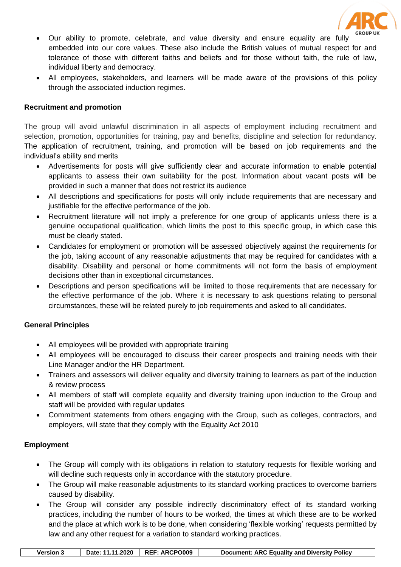

- Our ability to promote, celebrate, and value diversity and ensure equality are fully embedded into our core values. These also include the British values of mutual respect for and tolerance of those with different faiths and beliefs and for those without faith, the rule of law, individual liberty and democracy.
- All employees, stakeholders, and learners will be made aware of the provisions of this policy through the associated induction regimes.

### **Recruitment and promotion**

The group will avoid unlawful discrimination in all aspects of employment including recruitment and selection, promotion, opportunities for training, pay and benefits, discipline and selection for redundancy. The application of recruitment, training, and promotion will be based on job requirements and the individual's ability and merits

- Advertisements for posts will give sufficiently clear and accurate information to enable potential applicants to assess their own suitability for the post. Information about vacant posts will be provided in such a manner that does not restrict its audience
- All descriptions and specifications for posts will only include requirements that are necessary and justifiable for the effective performance of the job.
- Recruitment literature will not imply a preference for one group of applicants unless there is a genuine occupational qualification, which limits the post to this specific group, in which case this must be clearly stated.
- Candidates for employment or promotion will be assessed objectively against the requirements for the job, taking account of any reasonable adjustments that may be required for candidates with a disability. Disability and personal or home commitments will not form the basis of employment decisions other than in exceptional circumstances.
- Descriptions and person specifications will be limited to those requirements that are necessary for the effective performance of the job. Where it is necessary to ask questions relating to personal circumstances, these will be related purely to job requirements and asked to all candidates.

### **General Principles**

- All employees will be provided with appropriate training
- All employees will be encouraged to discuss their career prospects and training needs with their Line Manager and/or the HR Department.
- Trainers and assessors will deliver equality and diversity training to learners as part of the induction & review process
- All members of staff will complete equality and diversity training upon induction to the Group and staff will be provided with regular updates
- Commitment statements from others engaging with the Group, such as colleges, contractors, and employers, will state that they comply with the Equality Act 2010

# **Employment**

- The Group will comply with its obligations in relation to statutory requests for flexible working and will decline such requests only in accordance with the statutory procedure.
- The Group will make reasonable adjustments to its standard working practices to overcome barriers caused by disability.
- The Group will consider any possible indirectly discriminatory effect of its standard working practices, including the number of hours to be worked, the times at which these are to be worked and the place at which work is to be done, when considering 'flexible working' requests permitted by law and any other request for a variation to standard working practices.

|  | <b>Version 3</b> |  | Date: 11.11.2020   REF: ARCPO009 | Document: ARC Equality and Diversity Policy |
|--|------------------|--|----------------------------------|---------------------------------------------|
|--|------------------|--|----------------------------------|---------------------------------------------|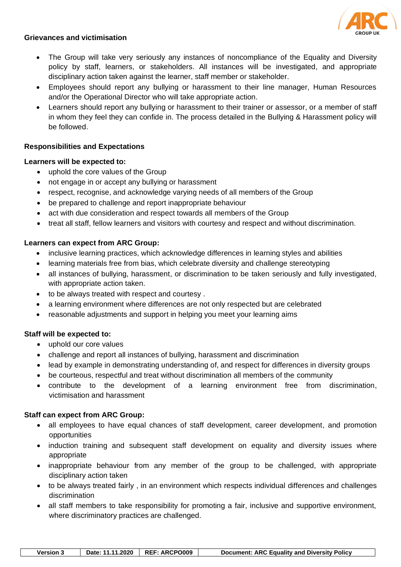

#### **Grievances and victimisation**

- The Group will take very seriously any instances of noncompliance of the Equality and Diversity policy by staff, learners, or stakeholders. All instances will be investigated, and appropriate disciplinary action taken against the learner, staff member or stakeholder.
- Employees should report any bullying or harassment to their line manager, Human Resources and/or the Operational Director who will take appropriate action.
- Learners should report any bullying or harassment to their trainer or assessor, or a member of staff in whom they feel they can confide in. The process detailed in the Bullying & Harassment policy will be followed.

## **Responsibilities and Expectations**

### **Learners will be expected to:**

- uphold the core values of the Group
- not engage in or accept any bullying or harassment
- respect, recognise, and acknowledge varying needs of all members of the Group
- be prepared to challenge and report inappropriate behaviour
- act with due consideration and respect towards all members of the Group
- treat all staff, fellow learners and visitors with courtesy and respect and without discrimination.

### **Learners can expect from ARC Group:**

- inclusive learning practices, which acknowledge differences in learning styles and abilities
- learning materials free from bias, which celebrate diversity and challenge stereotyping
- all instances of bullying, harassment, or discrimination to be taken seriously and fully investigated, with appropriate action taken.
- to be always treated with respect and courtesy .
- a learning environment where differences are not only respected but are celebrated
- reasonable adjustments and support in helping you meet your learning aims

### **Staff will be expected to:**

- uphold our core values
- challenge and report all instances of bullying, harassment and discrimination
- lead by example in demonstrating understanding of, and respect for differences in diversity groups
- be courteous, respectful and treat without discrimination all members of the community
- contribute to the development of a learning environment free from discrimination, victimisation and harassment

### **Staff can expect from ARC Group:**

- all employees to have equal chances of staff development, career development, and promotion opportunities
- induction training and subsequent staff development on equality and diversity issues where appropriate
- inappropriate behaviour from any member of the group to be challenged, with appropriate disciplinary action taken
- to be always treated fairly , in an environment which respects individual differences and challenges discrimination
- all staff members to take responsibility for promoting a fair, inclusive and supportive environment, where discriminatory practices are challenged.

| Date: 11.11.2020   REF: ARCPO009<br>Document: ARC Equality and Diversity Policy<br><b>Version 3</b> |
|-----------------------------------------------------------------------------------------------------|
|-----------------------------------------------------------------------------------------------------|